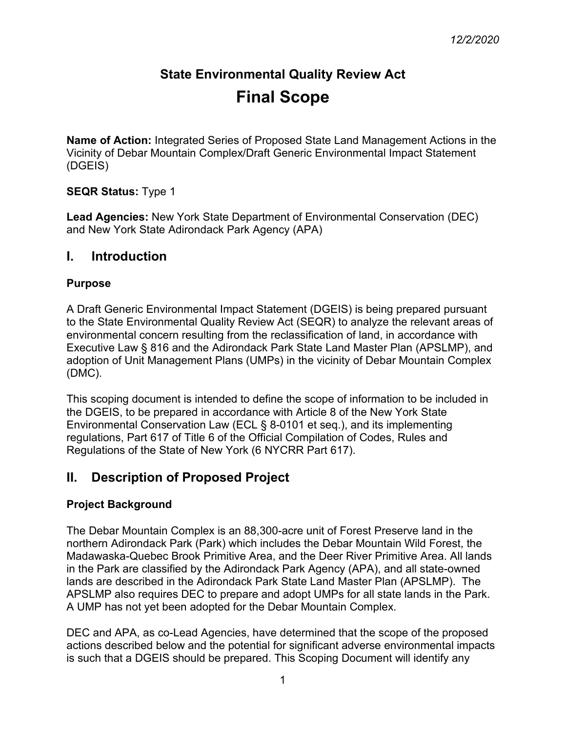# **State Environmental Quality Review Act Final Scope**

**Name of Action:** Integrated Series of Proposed State Land Management Actions in the Vicinity of Debar Mountain Complex/Draft Generic Environmental Impact Statement (DGEIS)

## **SEQR Status:** Type 1

**Lead Agencies:** New York State Department of Environmental Conservation (DEC) and New York State Adirondack Park Agency (APA)

# **I. Introduction**

#### **Purpose**

A Draft Generic Environmental Impact Statement (DGEIS) is being prepared pursuant to the State Environmental Quality Review Act (SEQR) to analyze the relevant areas of environmental concern resulting from the reclassification of land, in accordance with Executive Law § 816 and the Adirondack Park State Land Master Plan (APSLMP), and adoption of Unit Management Plans (UMPs) in the vicinity of Debar Mountain Complex (DMC).

This scoping document is intended to define the scope of information to be included in the DGEIS, to be prepared in accordance with Article 8 of the New York State Environmental Conservation Law (ECL § 8-0101 et seq.), and its implementing regulations, Part 617 of Title 6 of the Official Compilation of Codes, Rules and Regulations of the State of New York (6 NYCRR Part 617).

# **II. Description of Proposed Project**

# **Project Background**

The Debar Mountain Complex is an 88,300-acre unit of Forest Preserve land in the northern Adirondack Park (Park) which includes the Debar Mountain Wild Forest, the Madawaska-Quebec Brook Primitive Area, and the Deer River Primitive Area. All lands in the Park are classified by the Adirondack Park Agency (APA), and all state-owned lands are described in the Adirondack Park State Land Master Plan (APSLMP). The APSLMP also requires DEC to prepare and adopt UMPs for all state lands in the Park. A UMP has not yet been adopted for the Debar Mountain Complex.

DEC and APA, as co-Lead Agencies, have determined that the scope of the proposed actions described below and the potential for significant adverse environmental impacts is such that a DGEIS should be prepared. This Scoping Document will identify any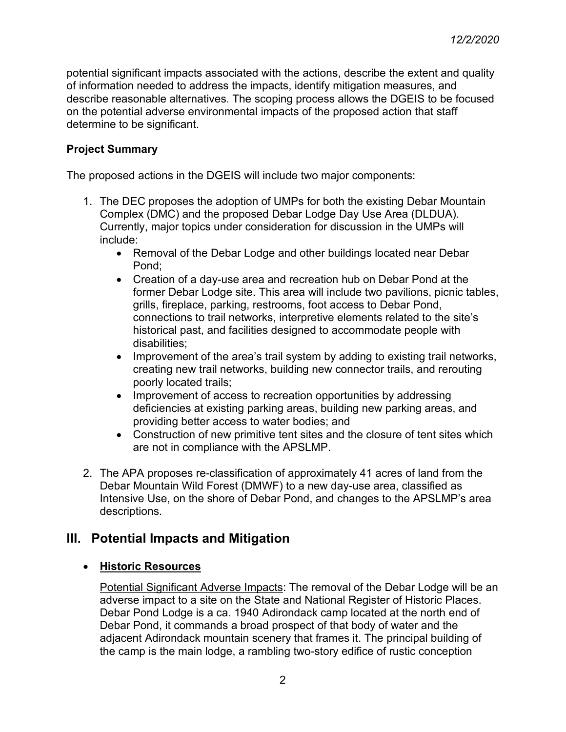potential significant impacts associated with the actions, describe the extent and quality of information needed to address the impacts, identify mitigation measures, and describe reasonable alternatives. The scoping process allows the DGEIS to be focused on the potential adverse environmental impacts of the proposed action that staff determine to be significant.

## **Project Summary**

The proposed actions in the DGEIS will include two major components:

- 1. The DEC proposes the adoption of UMPs for both the existing Debar Mountain Complex (DMC) and the proposed Debar Lodge Day Use Area (DLDUA). Currently, major topics under consideration for discussion in the UMPs will include:
	- Removal of the Debar Lodge and other buildings located near Debar Pond;
	- Creation of a day-use area and recreation hub on Debar Pond at the former Debar Lodge site. This area will include two pavilions, picnic tables, grills, fireplace, parking, restrooms, foot access to Debar Pond, connections to trail networks, interpretive elements related to the site's historical past, and facilities designed to accommodate people with disabilities;
	- Improvement of the area's trail system by adding to existing trail networks, creating new trail networks, building new connector trails, and rerouting poorly located trails;
	- Improvement of access to recreation opportunities by addressing deficiencies at existing parking areas, building new parking areas, and providing better access to water bodies; and
	- Construction of new primitive tent sites and the closure of tent sites which are not in compliance with the APSLMP.
- 2. The APA proposes re-classification of approximately 41 acres of land from the Debar Mountain Wild Forest (DMWF) to a new day-use area, classified as Intensive Use, on the shore of Debar Pond, and changes to the APSLMP's area descriptions.

# **III. Potential Impacts and Mitigation**

#### • **Historic Resources**

Potential Significant Adverse Impacts: The removal of the Debar Lodge will be an adverse impact to a site on the State and National Register of Historic Places. Debar Pond Lodge is a ca. 1940 Adirondack camp located at the north end of Debar Pond, it commands a broad prospect of that body of water and the adjacent Adirondack mountain scenery that frames it. The principal building of the camp is the main lodge, a rambling two-story edifice of rustic conception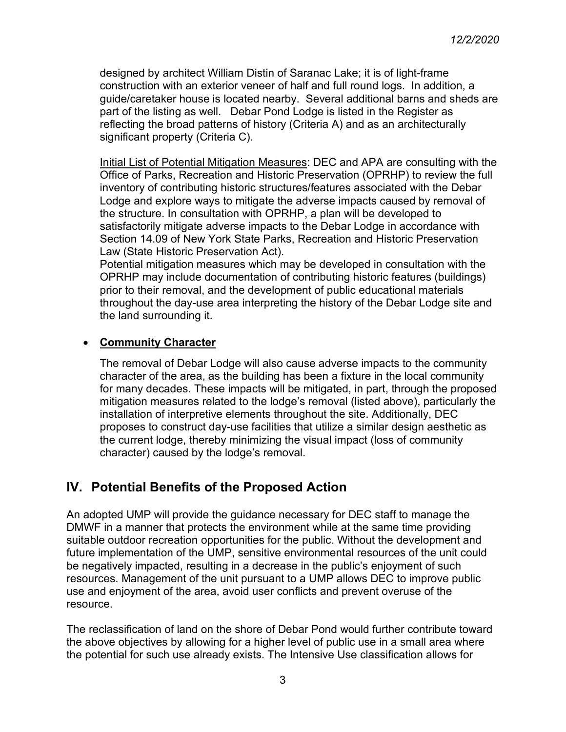designed by architect William Distin of Saranac Lake; it is of light-frame construction with an exterior veneer of half and full round logs. In addition, a guide/caretaker house is located nearby. Several additional barns and sheds are part of the listing as well. Debar Pond Lodge is listed in the Register as reflecting the broad patterns of history (Criteria A) and as an architecturally significant property (Criteria C).

Initial List of Potential Mitigation Measures: DEC and APA are consulting with the Office of Parks, Recreation and Historic Preservation (OPRHP) to review the full inventory of contributing historic structures/features associated with the Debar Lodge and explore ways to mitigate the adverse impacts caused by removal of the structure. In consultation with OPRHP, a plan will be developed to satisfactorily mitigate adverse impacts to the Debar Lodge in accordance with Section 14.09 of New York State Parks, Recreation and Historic Preservation Law (State Historic Preservation Act).

Potential mitigation measures which may be developed in consultation with the OPRHP may include documentation of contributing historic features (buildings) prior to their removal, and the development of public educational materials throughout the day-use area interpreting the history of the Debar Lodge site and the land surrounding it.

## • **Community Character**

The removal of Debar Lodge will also cause adverse impacts to the community character of the area, as the building has been a fixture in the local community for many decades. These impacts will be mitigated, in part, through the proposed mitigation measures related to the lodge's removal (listed above), particularly the installation of interpretive elements throughout the site. Additionally, DEC proposes to construct day-use facilities that utilize a similar design aesthetic as the current lodge, thereby minimizing the visual impact (loss of community character) caused by the lodge's removal.

# **IV. Potential Benefits of the Proposed Action**

An adopted UMP will provide the guidance necessary for DEC staff to manage the DMWF in a manner that protects the environment while at the same time providing suitable outdoor recreation opportunities for the public. Without the development and future implementation of the UMP, sensitive environmental resources of the unit could be negatively impacted, resulting in a decrease in the public's enjoyment of such resources. Management of the unit pursuant to a UMP allows DEC to improve public use and enjoyment of the area, avoid user conflicts and prevent overuse of the resource.

The reclassification of land on the shore of Debar Pond would further contribute toward the above objectives by allowing for a higher level of public use in a small area where the potential for such use already exists. The Intensive Use classification allows for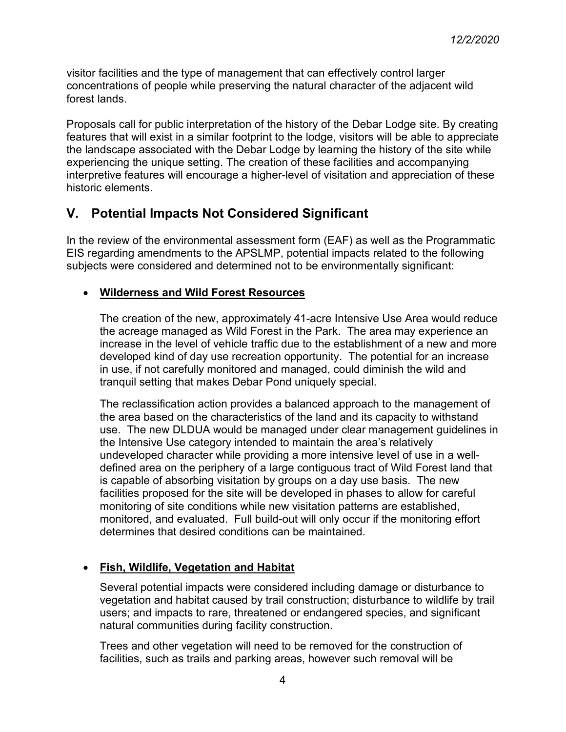visitor facilities and the type of management that can effectively control larger concentrations of people while preserving the natural character of the adjacent wild forest lands.

Proposals call for public interpretation of the history of the Debar Lodge site. By creating features that will exist in a similar footprint to the lodge, visitors will be able to appreciate the landscape associated with the Debar Lodge by learning the history of the site while experiencing the unique setting. The creation of these facilities and accompanying interpretive features will encourage a higher-level of visitation and appreciation of these historic elements.

# **V. Potential Impacts Not Considered Significant**

In the review of the environmental assessment form (EAF) as well as the Programmatic EIS regarding amendments to the APSLMP, potential impacts related to the following subjects were considered and determined not to be environmentally significant:

## • **Wilderness and Wild Forest Resources**

The creation of the new, approximately 41-acre Intensive Use Area would reduce the acreage managed as Wild Forest in the Park. The area may experience an increase in the level of vehicle traffic due to the establishment of a new and more developed kind of day use recreation opportunity. The potential for an increase in use, if not carefully monitored and managed, could diminish the wild and tranquil setting that makes Debar Pond uniquely special.

The reclassification action provides a balanced approach to the management of the area based on the characteristics of the land and its capacity to withstand use. The new DLDUA would be managed under clear management guidelines in the Intensive Use category intended to maintain the area's relatively undeveloped character while providing a more intensive level of use in a welldefined area on the periphery of a large contiguous tract of Wild Forest land that is capable of absorbing visitation by groups on a day use basis. The new facilities proposed for the site will be developed in phases to allow for careful monitoring of site conditions while new visitation patterns are established, monitored, and evaluated. Full build-out will only occur if the monitoring effort determines that desired conditions can be maintained.

# • **Fish, Wildlife, Vegetation and Habitat**

Several potential impacts were considered including damage or disturbance to vegetation and habitat caused by trail construction; disturbance to wildlife by trail users; and impacts to rare, threatened or endangered species, and significant natural communities during facility construction.

Trees and other vegetation will need to be removed for the construction of facilities, such as trails and parking areas, however such removal will be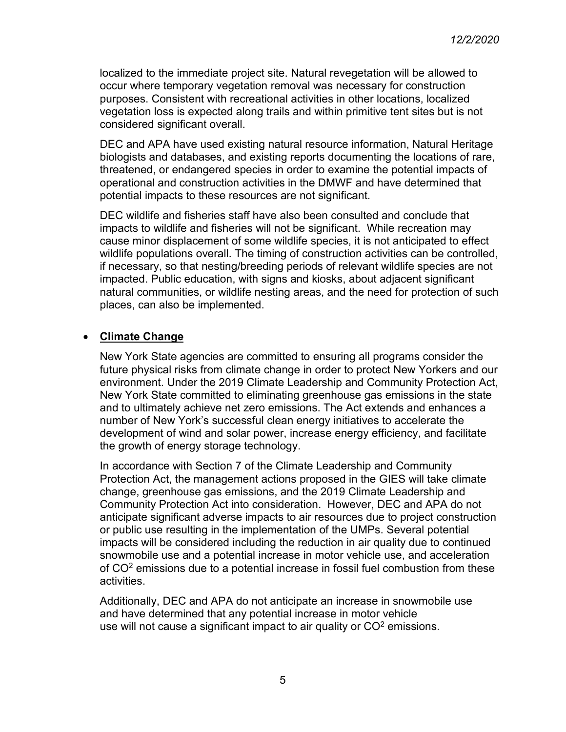localized to the immediate project site. Natural revegetation will be allowed to occur where temporary vegetation removal was necessary for construction purposes. Consistent with recreational activities in other locations, localized vegetation loss is expected along trails and within primitive tent sites but is not considered significant overall.

DEC and APA have used existing natural resource information, Natural Heritage biologists and databases, and existing reports documenting the locations of rare, threatened, or endangered species in order to examine the potential impacts of operational and construction activities in the DMWF and have determined that potential impacts to these resources are not significant.

DEC wildlife and fisheries staff have also been consulted and conclude that impacts to wildlife and fisheries will not be significant. While recreation may cause minor displacement of some wildlife species, it is not anticipated to effect wildlife populations overall. The timing of construction activities can be controlled, if necessary, so that nesting/breeding periods of relevant wildlife species are not impacted. Public education, with signs and kiosks, about adjacent significant natural communities, or wildlife nesting areas, and the need for protection of such places, can also be implemented.

#### • **Climate Change**

New York State agencies are committed to ensuring all programs consider the future physical risks from climate change in order to protect New Yorkers and our environment. Under the 2019 Climate Leadership and Community Protection Act, New York State committed to eliminating greenhouse gas emissions in the state and to ultimately achieve net zero emissions. The Act extends and enhances a number of New York's successful clean energy initiatives to accelerate the development of wind and solar power, increase energy efficiency, and facilitate the growth of energy storage technology.

In accordance with Section 7 of the Climate Leadership and Community Protection Act, the management actions proposed in the GIES will take climate change, greenhouse gas emissions, and the 2019 Climate Leadership and Community Protection Act into consideration. However, DEC and APA do not anticipate significant adverse impacts to air resources due to project construction or public use resulting in the implementation of the UMPs. Several potential impacts will be considered including the reduction in air quality due to continued snowmobile use and a potential increase in motor vehicle use, and acceleration of  $CO<sup>2</sup>$  emissions due to a potential increase in fossil fuel combustion from these activities.

Additionally, DEC and APA do not anticipate an increase in snowmobile use and have determined that any potential increase in motor vehicle use will not cause a significant impact to air quality or  $CO<sup>2</sup>$  emissions.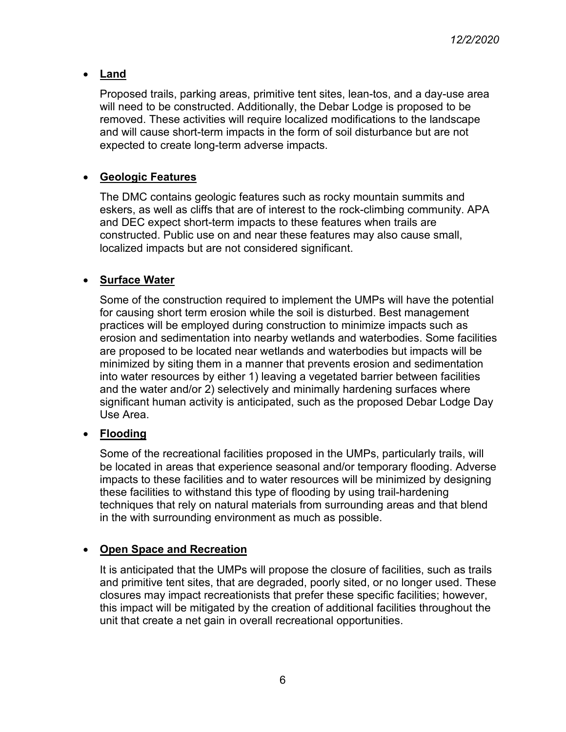### • **Land**

Proposed trails, parking areas, primitive tent sites, lean-tos, and a day-use area will need to be constructed. Additionally, the Debar Lodge is proposed to be removed. These activities will require localized modifications to the landscape and will cause short-term impacts in the form of soil disturbance but are not expected to create long-term adverse impacts.

## • **Geologic Features**

The DMC contains geologic features such as rocky mountain summits and eskers, as well as cliffs that are of interest to the rock-climbing community. APA and DEC expect short-term impacts to these features when trails are constructed. Public use on and near these features may also cause small, localized impacts but are not considered significant.

#### • **Surface Water**

Some of the construction required to implement the UMPs will have the potential for causing short term erosion while the soil is disturbed. Best management practices will be employed during construction to minimize impacts such as erosion and sedimentation into nearby wetlands and waterbodies. Some facilities are proposed to be located near wetlands and waterbodies but impacts will be minimized by siting them in a manner that prevents erosion and sedimentation into water resources by either 1) leaving a vegetated barrier between facilities and the water and/or 2) selectively and minimally hardening surfaces where significant human activity is anticipated, such as the proposed Debar Lodge Day Use Area.

# • **Flooding**

Some of the recreational facilities proposed in the UMPs, particularly trails, will be located in areas that experience seasonal and/or temporary flooding. Adverse impacts to these facilities and to water resources will be minimized by designing these facilities to withstand this type of flooding by using trail-hardening techniques that rely on natural materials from surrounding areas and that blend in the with surrounding environment as much as possible.

#### • **Open Space and Recreation**

It is anticipated that the UMPs will propose the closure of facilities, such as trails and primitive tent sites, that are degraded, poorly sited, or no longer used. These closures may impact recreationists that prefer these specific facilities; however, this impact will be mitigated by the creation of additional facilities throughout the unit that create a net gain in overall recreational opportunities.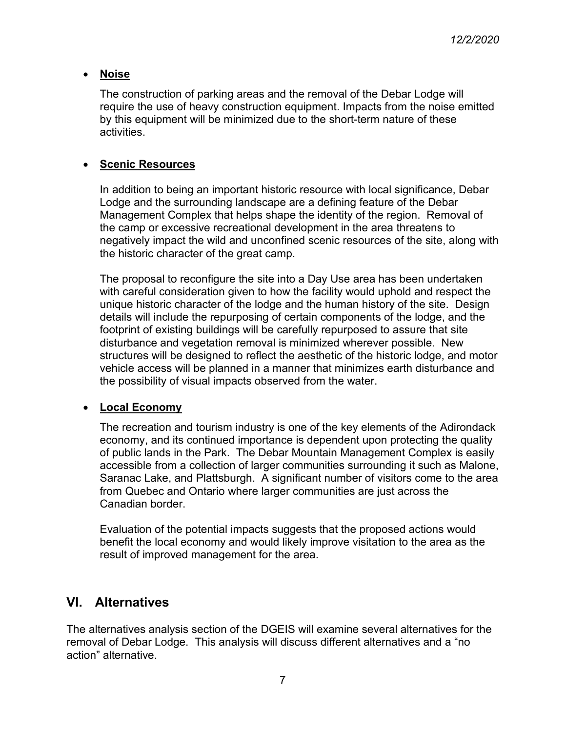#### • **Noise**

The construction of parking areas and the removal of the Debar Lodge will require the use of heavy construction equipment. Impacts from the noise emitted by this equipment will be minimized due to the short-term nature of these activities.

#### • **Scenic Resources**

In addition to being an important historic resource with local significance, Debar Lodge and the surrounding landscape are a defining feature of the Debar Management Complex that helps shape the identity of the region. Removal of the camp or excessive recreational development in the area threatens to negatively impact the wild and unconfined scenic resources of the site, along with the historic character of the great camp.

The proposal to reconfigure the site into a Day Use area has been undertaken with careful consideration given to how the facility would uphold and respect the unique historic character of the lodge and the human history of the site. Design details will include the repurposing of certain components of the lodge, and the footprint of existing buildings will be carefully repurposed to assure that site disturbance and vegetation removal is minimized wherever possible. New structures will be designed to reflect the aesthetic of the historic lodge, and motor vehicle access will be planned in a manner that minimizes earth disturbance and the possibility of visual impacts observed from the water.

#### • **Local Economy**

The recreation and tourism industry is one of the key elements of the Adirondack economy, and its continued importance is dependent upon protecting the quality of public lands in the Park. The Debar Mountain Management Complex is easily accessible from a collection of larger communities surrounding it such as Malone, Saranac Lake, and Plattsburgh. A significant number of visitors come to the area from Quebec and Ontario where larger communities are just across the Canadian border.

Evaluation of the potential impacts suggests that the proposed actions would benefit the local economy and would likely improve visitation to the area as the result of improved management for the area.

# **VI. Alternatives**

The alternatives analysis section of the DGEIS will examine several alternatives for the removal of Debar Lodge. This analysis will discuss different alternatives and a "no action" alternative.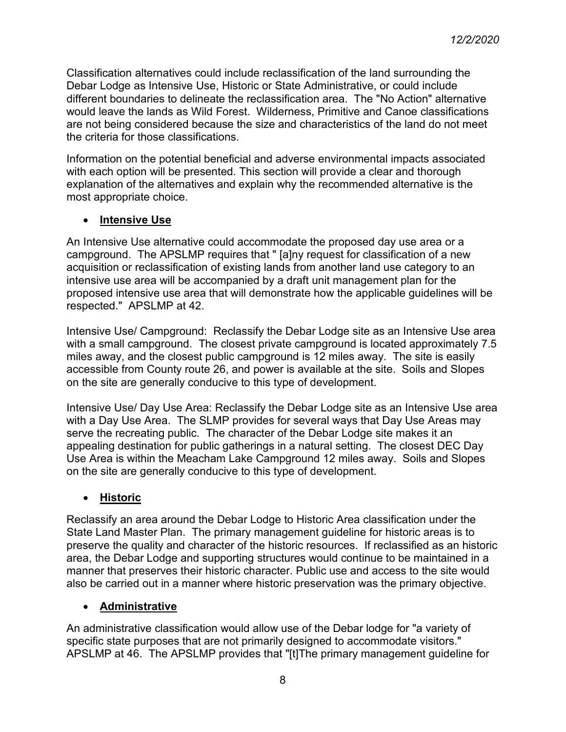Classification alternatives could include reclassification of the land surrounding the Debar Lodge as Intensive Use, Historic or State Administrative, or could include different boundaries to delineate the reclassification area. The "No Action" alternative would leave the lands as Wild Forest. Wilderness, Primitive and Canoe classifications are not being considered because the size and characteristics of the land do not meet the criteria for those classifications.

Information on the potential beneficial and adverse environmental impacts associated with each option will be presented. This section will provide a clear and thorough explanation of the alternatives and explain why the recommended alternative is the most appropriate choice.

## • **Intensive Use**

An Intensive Use alternative could accommodate the proposed day use area or a campground. The APSLMP requires that " [a]ny request for classification of a new acquisition or reclassification of existing lands from another land use category to an intensive use area will be accompanied by a draft unit management plan for the proposed intensive use area that will demonstrate how the applicable guidelines will be respected." APSLMP at 42.

Intensive Use/ Campground: Reclassify the Debar Lodge site as an Intensive Use area with a small campground. The closest private campground is located approximately 7.5 miles away, and the closest public campground is 12 miles away. The site is easily accessible from County route 26, and power is available at the site. Soils and Slopes on the site are generally conducive to this type of development.

Intensive Use/ Day Use Area: Reclassify the Debar Lodge site as an Intensive Use area with a Day Use Area. The SLMP provides for several ways that Day Use Areas may serve the recreating public. The character of the Debar Lodge site makes it an appealing destination for public gatherings in a natural setting. The closest DEC Day Use Area is within the Meacham Lake Campground 12 miles away. Soils and Slopes on the site are generally conducive to this type of development.

# • **Historic**

Reclassify an area around the Debar Lodge to Historic Area classification under the State Land Master Plan. The primary management guideline for historic areas is to preserve the quality and character of the historic resources. If reclassified as an historic area, the Debar Lodge and supporting structures would continue to be maintained in a manner that preserves their historic character. Public use and access to the site would also be carried out in a manner where historic preservation was the primary objective.

# • **Administrative**

An administrative classification would allow use of the Debar lodge for "a variety of specific state purposes that are not primarily designed to accommodate visitors." APSLMP at 46. The APSLMP provides that "[t]The primary management guideline for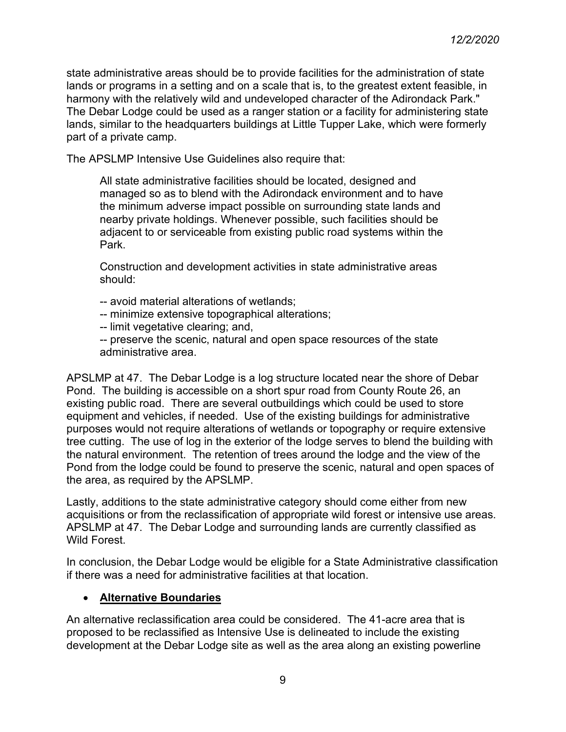state administrative areas should be to provide facilities for the administration of state lands or programs in a setting and on a scale that is, to the greatest extent feasible, in harmony with the relatively wild and undeveloped character of the Adirondack Park." The Debar Lodge could be used as a ranger station or a facility for administering state lands, similar to the headquarters buildings at Little Tupper Lake, which were formerly part of a private camp.

The APSLMP Intensive Use Guidelines also require that:

All state administrative facilities should be located, designed and managed so as to blend with the Adirondack environment and to have the minimum adverse impact possible on surrounding state lands and nearby private holdings. Whenever possible, such facilities should be adjacent to or serviceable from existing public road systems within the Park.

Construction and development activities in state administrative areas should:

- -- avoid material alterations of wetlands;
- -- minimize extensive topographical alterations;
- -- limit vegetative clearing; and,
- -- preserve the scenic, natural and open space resources of the state administrative area.

APSLMP at 47. The Debar Lodge is a log structure located near the shore of Debar Pond. The building is accessible on a short spur road from County Route 26, an existing public road. There are several outbuildings which could be used to store equipment and vehicles, if needed. Use of the existing buildings for administrative purposes would not require alterations of wetlands or topography or require extensive tree cutting. The use of log in the exterior of the lodge serves to blend the building with the natural environment. The retention of trees around the lodge and the view of the Pond from the lodge could be found to preserve the scenic, natural and open spaces of the area, as required by the APSLMP.

Lastly, additions to the state administrative category should come either from new acquisitions or from the reclassification of appropriate wild forest or intensive use areas. APSLMP at 47. The Debar Lodge and surrounding lands are currently classified as Wild Forest.

In conclusion, the Debar Lodge would be eligible for a State Administrative classification if there was a need for administrative facilities at that location.

# • **Alternative Boundaries**

An alternative reclassification area could be considered. The 41-acre area that is proposed to be reclassified as Intensive Use is delineated to include the existing development at the Debar Lodge site as well as the area along an existing powerline